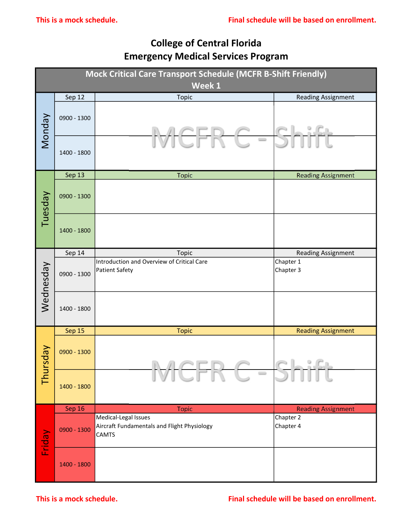## College of Central Florida Emergency Medical Services Program

|           | This is a mock schedule. |                                                                                     | Final schedule will be based on enrollment. |
|-----------|--------------------------|-------------------------------------------------------------------------------------|---------------------------------------------|
|           |                          | <b>College of Central Florida</b><br><b>Emergency Medical Services Program</b>      |                                             |
|           |                          | Mock Critical Care Transport Schedule (MCFR B-Shift Friendly)<br>Week 1             |                                             |
|           | Sep 12                   | <b>Topic</b>                                                                        | <b>Reading Assignment</b>                   |
| Monday    | 0900 - 1300              |                                                                                     |                                             |
|           | 1400 - 1800              | $\hspace{0.1cm} \longrightarrow \hspace{0.1cm}$                                     |                                             |
|           | Sep 13                   | <b>Topic</b>                                                                        | <b>Reading Assignment</b>                   |
| Tuesday   | 0900 - 1300              |                                                                                     |                                             |
|           | 1400 - 1800              |                                                                                     |                                             |
|           | Sep 14                   | <b>Topic</b>                                                                        | Reading Assignment                          |
| Wednesday | 0900 - 1300              | Introduction and Overview of Critical Care<br>Patient Safety                        | Chapter 1<br>Chapter 3                      |
|           | 1400 - 1800              |                                                                                     |                                             |
|           | Sep 15                   | <b>Topic</b>                                                                        | <b>Reading Assignment</b>                   |
| Thursday  | 0900 - 1300              |                                                                                     | el afi                                      |
|           | 1400 - 1800              | $\qquad \qquad \Box$                                                                |                                             |
|           | Sep 16                   | <b>Topic</b>                                                                        | <b>Reading Assignment</b>                   |
| Friday    | 0900 - 1300              | Medical-Legal Issues<br>Aircraft Fundamentals and Flight Physiology<br><b>CAMTS</b> | Chapter 2<br>Chapter 4                      |
|           | 1400 - 1800              |                                                                                     |                                             |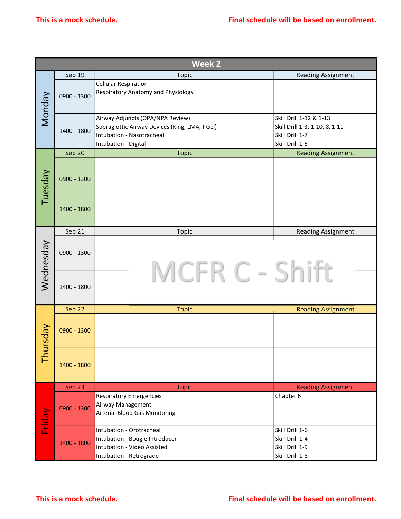|               |             | Week 2                                          |                               |
|---------------|-------------|-------------------------------------------------|-------------------------------|
|               | Sep 19      | Topic                                           | <b>Reading Assignment</b>     |
|               |             | <b>Cellular Respiration</b>                     |                               |
|               |             | Respiratory Anatomy and Physiology              |                               |
|               | 0900 - 1300 |                                                 |                               |
| Nonday        |             |                                                 |                               |
|               |             | Airway Adjuncts (OPA/NPA Review)                | Skill Drill 1-12 & 1-13       |
|               | 1400 - 1800 | Supraglottic Airway Devices (King, LMA, I-Gel)  | Skill Drill 1-3, 1-10, & 1-11 |
|               |             | Intubation - Nasotracheal                       | Skill Drill 1-7               |
|               |             | Intubation - Digital                            | Skill Drill 1-5               |
|               | Sep 20      | <b>Topic</b>                                    | <b>Reading Assignment</b>     |
|               |             |                                                 |                               |
|               | 0900 - 1300 |                                                 |                               |
|               |             |                                                 |                               |
| Tuesday       |             |                                                 |                               |
|               |             |                                                 |                               |
|               | 1400 - 1800 |                                                 |                               |
|               |             |                                                 |                               |
|               | Sep 21      | Topic                                           | <b>Reading Assignment</b>     |
|               |             |                                                 |                               |
|               | 0900 - 1300 |                                                 |                               |
|               |             |                                                 |                               |
| Wednesday     |             | $\hspace{0.1cm} \longrightarrow \hspace{0.1cm}$ |                               |
|               |             |                                                 |                               |
|               | 1400 - 1800 |                                                 |                               |
|               |             |                                                 |                               |
|               | Sep 22      | <b>Topic</b>                                    | <b>Reading Assignment</b>     |
|               |             |                                                 |                               |
|               | 0900 - 1300 |                                                 |                               |
|               |             |                                                 |                               |
| <b>Aepsun</b> |             |                                                 |                               |
| 톱             |             |                                                 |                               |
|               | 1400 - 1800 |                                                 |                               |
|               |             |                                                 |                               |
|               | Sep 23      | <b>Topic</b>                                    | <b>Reading Assignment</b>     |
|               |             | <b>Respiratory Emergencies</b>                  | Chapter <sub>6</sub>          |
|               | 0900 - 1300 | Airway Management                               |                               |
|               |             | <b>Arterial Blood Gas Monitoring</b>            |                               |
| Friday        |             |                                                 |                               |
|               |             | Intubation - Orotracheal                        | Skill Drill 1-6               |
|               | 1400 - 1800 | Intubation - Bougie Introducer                  | Skill Drill 1-4               |
|               |             | Intubation - Video Assisted                     | Skill Drill 1-9               |
|               |             | Intubation - Retrograde                         | Skill Drill 1-8               |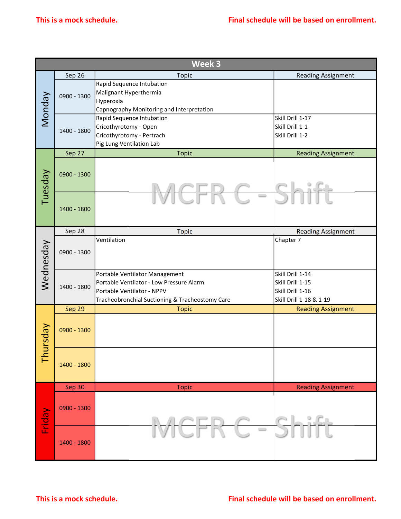| Week 3<br>Sep 26<br>Topic<br><b>Reading Assignment</b><br>Rapid Sequence Intubation<br>Malignant Hyperthermia<br>Monday<br>0900 - 1300<br>Hyperoxia<br>Capnography Monitoring and Interpretation<br>Skill Drill 1-17<br>Rapid Sequence Intubation<br>Skill Drill 1-1<br>Cricothyrotomy - Open<br>1400 - 1800<br>Cricothyrotomy - Pertrach<br>Skill Drill 1-2<br>Pig Lung Ventilation Lab<br>Sep 27<br><b>Topic</b><br><b>Reading Assignment</b><br>Tuesday<br>0900 - 1300<br>$\hspace{0.1cm} \longrightarrow \hspace{0.1cm}$<br>1400 - 1800<br>Sep 28<br><b>Topic</b><br><b>Reading Assignment</b><br>Ventilation<br>Chapter 7<br>Wednesday<br>0900 - 1300<br>Portable Ventilator Management<br>Skill Drill 1-14<br>Portable Ventilator - Low Pressure Alarm<br>Skill Drill 1-15<br>1400 - 1800<br>Skill Drill 1-16<br>Portable Ventilator - NPPV<br>Tracheobronchial Suctioning & Tracheostomy Care<br>Skill Drill 1-18 & 1-19<br>Sep 29<br><b>Reading Assignment</b><br><b>Topic</b><br>Thursday<br>0900 - 1300<br>1400 - 1800<br>Sep 30<br><b>Reading Assignment</b><br><b>Topic</b><br>0900 - 1300<br>Friday<br>IL S.G.<br>$\qquad \qquad \qquad \Box$<br>1400 - 1800 |  |  |
|---------------------------------------------------------------------------------------------------------------------------------------------------------------------------------------------------------------------------------------------------------------------------------------------------------------------------------------------------------------------------------------------------------------------------------------------------------------------------------------------------------------------------------------------------------------------------------------------------------------------------------------------------------------------------------------------------------------------------------------------------------------------------------------------------------------------------------------------------------------------------------------------------------------------------------------------------------------------------------------------------------------------------------------------------------------------------------------------------------------------------------------------------------------------------|--|--|
|                                                                                                                                                                                                                                                                                                                                                                                                                                                                                                                                                                                                                                                                                                                                                                                                                                                                                                                                                                                                                                                                                                                                                                           |  |  |
|                                                                                                                                                                                                                                                                                                                                                                                                                                                                                                                                                                                                                                                                                                                                                                                                                                                                                                                                                                                                                                                                                                                                                                           |  |  |
|                                                                                                                                                                                                                                                                                                                                                                                                                                                                                                                                                                                                                                                                                                                                                                                                                                                                                                                                                                                                                                                                                                                                                                           |  |  |
|                                                                                                                                                                                                                                                                                                                                                                                                                                                                                                                                                                                                                                                                                                                                                                                                                                                                                                                                                                                                                                                                                                                                                                           |  |  |
|                                                                                                                                                                                                                                                                                                                                                                                                                                                                                                                                                                                                                                                                                                                                                                                                                                                                                                                                                                                                                                                                                                                                                                           |  |  |
|                                                                                                                                                                                                                                                                                                                                                                                                                                                                                                                                                                                                                                                                                                                                                                                                                                                                                                                                                                                                                                                                                                                                                                           |  |  |
|                                                                                                                                                                                                                                                                                                                                                                                                                                                                                                                                                                                                                                                                                                                                                                                                                                                                                                                                                                                                                                                                                                                                                                           |  |  |
|                                                                                                                                                                                                                                                                                                                                                                                                                                                                                                                                                                                                                                                                                                                                                                                                                                                                                                                                                                                                                                                                                                                                                                           |  |  |
|                                                                                                                                                                                                                                                                                                                                                                                                                                                                                                                                                                                                                                                                                                                                                                                                                                                                                                                                                                                                                                                                                                                                                                           |  |  |
|                                                                                                                                                                                                                                                                                                                                                                                                                                                                                                                                                                                                                                                                                                                                                                                                                                                                                                                                                                                                                                                                                                                                                                           |  |  |
|                                                                                                                                                                                                                                                                                                                                                                                                                                                                                                                                                                                                                                                                                                                                                                                                                                                                                                                                                                                                                                                                                                                                                                           |  |  |
|                                                                                                                                                                                                                                                                                                                                                                                                                                                                                                                                                                                                                                                                                                                                                                                                                                                                                                                                                                                                                                                                                                                                                                           |  |  |
|                                                                                                                                                                                                                                                                                                                                                                                                                                                                                                                                                                                                                                                                                                                                                                                                                                                                                                                                                                                                                                                                                                                                                                           |  |  |
|                                                                                                                                                                                                                                                                                                                                                                                                                                                                                                                                                                                                                                                                                                                                                                                                                                                                                                                                                                                                                                                                                                                                                                           |  |  |
|                                                                                                                                                                                                                                                                                                                                                                                                                                                                                                                                                                                                                                                                                                                                                                                                                                                                                                                                                                                                                                                                                                                                                                           |  |  |
|                                                                                                                                                                                                                                                                                                                                                                                                                                                                                                                                                                                                                                                                                                                                                                                                                                                                                                                                                                                                                                                                                                                                                                           |  |  |
|                                                                                                                                                                                                                                                                                                                                                                                                                                                                                                                                                                                                                                                                                                                                                                                                                                                                                                                                                                                                                                                                                                                                                                           |  |  |
|                                                                                                                                                                                                                                                                                                                                                                                                                                                                                                                                                                                                                                                                                                                                                                                                                                                                                                                                                                                                                                                                                                                                                                           |  |  |
|                                                                                                                                                                                                                                                                                                                                                                                                                                                                                                                                                                                                                                                                                                                                                                                                                                                                                                                                                                                                                                                                                                                                                                           |  |  |
|                                                                                                                                                                                                                                                                                                                                                                                                                                                                                                                                                                                                                                                                                                                                                                                                                                                                                                                                                                                                                                                                                                                                                                           |  |  |
|                                                                                                                                                                                                                                                                                                                                                                                                                                                                                                                                                                                                                                                                                                                                                                                                                                                                                                                                                                                                                                                                                                                                                                           |  |  |
|                                                                                                                                                                                                                                                                                                                                                                                                                                                                                                                                                                                                                                                                                                                                                                                                                                                                                                                                                                                                                                                                                                                                                                           |  |  |
|                                                                                                                                                                                                                                                                                                                                                                                                                                                                                                                                                                                                                                                                                                                                                                                                                                                                                                                                                                                                                                                                                                                                                                           |  |  |
|                                                                                                                                                                                                                                                                                                                                                                                                                                                                                                                                                                                                                                                                                                                                                                                                                                                                                                                                                                                                                                                                                                                                                                           |  |  |
|                                                                                                                                                                                                                                                                                                                                                                                                                                                                                                                                                                                                                                                                                                                                                                                                                                                                                                                                                                                                                                                                                                                                                                           |  |  |
|                                                                                                                                                                                                                                                                                                                                                                                                                                                                                                                                                                                                                                                                                                                                                                                                                                                                                                                                                                                                                                                                                                                                                                           |  |  |
|                                                                                                                                                                                                                                                                                                                                                                                                                                                                                                                                                                                                                                                                                                                                                                                                                                                                                                                                                                                                                                                                                                                                                                           |  |  |
|                                                                                                                                                                                                                                                                                                                                                                                                                                                                                                                                                                                                                                                                                                                                                                                                                                                                                                                                                                                                                                                                                                                                                                           |  |  |
|                                                                                                                                                                                                                                                                                                                                                                                                                                                                                                                                                                                                                                                                                                                                                                                                                                                                                                                                                                                                                                                                                                                                                                           |  |  |
|                                                                                                                                                                                                                                                                                                                                                                                                                                                                                                                                                                                                                                                                                                                                                                                                                                                                                                                                                                                                                                                                                                                                                                           |  |  |
|                                                                                                                                                                                                                                                                                                                                                                                                                                                                                                                                                                                                                                                                                                                                                                                                                                                                                                                                                                                                                                                                                                                                                                           |  |  |
|                                                                                                                                                                                                                                                                                                                                                                                                                                                                                                                                                                                                                                                                                                                                                                                                                                                                                                                                                                                                                                                                                                                                                                           |  |  |
|                                                                                                                                                                                                                                                                                                                                                                                                                                                                                                                                                                                                                                                                                                                                                                                                                                                                                                                                                                                                                                                                                                                                                                           |  |  |
|                                                                                                                                                                                                                                                                                                                                                                                                                                                                                                                                                                                                                                                                                                                                                                                                                                                                                                                                                                                                                                                                                                                                                                           |  |  |
|                                                                                                                                                                                                                                                                                                                                                                                                                                                                                                                                                                                                                                                                                                                                                                                                                                                                                                                                                                                                                                                                                                                                                                           |  |  |
|                                                                                                                                                                                                                                                                                                                                                                                                                                                                                                                                                                                                                                                                                                                                                                                                                                                                                                                                                                                                                                                                                                                                                                           |  |  |
|                                                                                                                                                                                                                                                                                                                                                                                                                                                                                                                                                                                                                                                                                                                                                                                                                                                                                                                                                                                                                                                                                                                                                                           |  |  |
|                                                                                                                                                                                                                                                                                                                                                                                                                                                                                                                                                                                                                                                                                                                                                                                                                                                                                                                                                                                                                                                                                                                                                                           |  |  |
|                                                                                                                                                                                                                                                                                                                                                                                                                                                                                                                                                                                                                                                                                                                                                                                                                                                                                                                                                                                                                                                                                                                                                                           |  |  |
|                                                                                                                                                                                                                                                                                                                                                                                                                                                                                                                                                                                                                                                                                                                                                                                                                                                                                                                                                                                                                                                                                                                                                                           |  |  |
|                                                                                                                                                                                                                                                                                                                                                                                                                                                                                                                                                                                                                                                                                                                                                                                                                                                                                                                                                                                                                                                                                                                                                                           |  |  |
|                                                                                                                                                                                                                                                                                                                                                                                                                                                                                                                                                                                                                                                                                                                                                                                                                                                                                                                                                                                                                                                                                                                                                                           |  |  |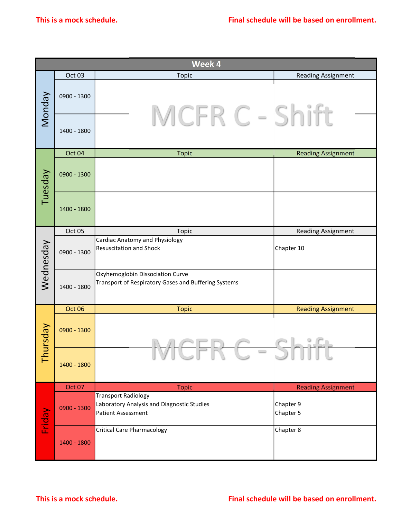|               | This is a mock schedule. |                                                                                                       | Final schedule will be based on enrollment. |
|---------------|--------------------------|-------------------------------------------------------------------------------------------------------|---------------------------------------------|
|               |                          |                                                                                                       |                                             |
|               |                          | Week 4                                                                                                |                                             |
|               | Oct 03                   | Topic                                                                                                 | <b>Reading Assignment</b>                   |
| <b>Monday</b> | 0900 - 1300              |                                                                                                       |                                             |
|               | 1400 - 1800              | $\hspace{0.05cm} \longrightarrow \hspace{0.05cm}$                                                     |                                             |
|               | Oct 04                   | <b>Topic</b>                                                                                          | <b>Reading Assignment</b>                   |
| Tuesday       | 0900 - 1300              |                                                                                                       |                                             |
|               | 1400 - 1800              |                                                                                                       |                                             |
|               | Oct 05                   | Topic                                                                                                 | <b>Reading Assignment</b>                   |
| Wednesday     | 0900 - 1300              | <b>Cardiac Anatomy and Physiology</b><br>Resuscitation and Shock                                      | Chapter 10                                  |
|               | 1400 - 1800              | Oxyhemoglobin Dissociation Curve<br>Transport of Respiratory Gases and Buffering Systems              |                                             |
|               | Oct 06                   | <b>Topic</b>                                                                                          | <b>Reading Assignment</b>                   |
| Thursday      | 0900 - 1300              |                                                                                                       |                                             |
|               | 1400 - 1800              | $\qquad \qquad$                                                                                       |                                             |
|               | Oct 07                   | <b>Topic</b>                                                                                          | <b>Reading Assignment</b>                   |
| Friday        | 0900 - 1300              | <b>Transport Radiology</b><br>Laboratory Analysis and Diagnostic Studies<br><b>Patient Assessment</b> | Chapter 9<br>Chapter 5                      |
|               | 1400 - 1800              | <b>Critical Care Pharmacology</b>                                                                     | Chapter 8                                   |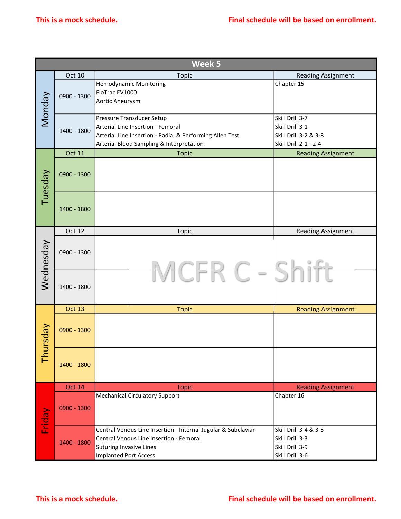|           |               | Week 5                                                        |                           |
|-----------|---------------|---------------------------------------------------------------|---------------------------|
|           | Oct 10        | Topic                                                         | <b>Reading Assignment</b> |
|           |               | Hemodynamic Monitoring                                        | Chapter 15                |
|           | 0900 - 1300   | FloTrac EV1000                                                |                           |
|           |               | Aortic Aneurysm                                               |                           |
| Monday    |               | Pressure Transducer Setup                                     | Skill Drill 3-7           |
|           |               | Arterial Line Insertion - Femoral                             | Skill Drill 3-1           |
|           | 1400 - 1800   | Arterial Line Insertion - Radial & Performing Allen Test      | Skill Drill 3-2 & 3-8     |
|           |               | Arterial Blood Sampling & Interpretation                      | Skill Drill 2-1 - 2-4     |
|           | <b>Oct 11</b> | <b>Topic</b>                                                  | <b>Reading Assignment</b> |
|           |               |                                                               |                           |
|           | 0900 - 1300   |                                                               |                           |
|           |               |                                                               |                           |
| Tuesday   |               |                                                               |                           |
|           |               |                                                               |                           |
|           | 1400 - 1800   |                                                               |                           |
|           |               |                                                               |                           |
|           | Oct 12        | Topic                                                         | Reading Assignment        |
|           |               |                                                               |                           |
|           | 0900 - 1300   |                                                               |                           |
|           |               |                                                               |                           |
| Wednesday |               |                                                               |                           |
|           |               | $\hspace{0.1cm} \longrightarrow \hspace{0.1cm}$               |                           |
|           | 1400 - 1800   |                                                               |                           |
|           |               |                                                               |                           |
|           | <b>Oct 13</b> | <b>Topic</b>                                                  | <b>Reading Assignment</b> |
|           |               |                                                               |                           |
|           | 0900 - 1300   |                                                               |                           |
| Vepsun    |               |                                                               |                           |
|           |               |                                                               |                           |
| 흡         |               |                                                               |                           |
|           | 1400 - 1800   |                                                               |                           |
|           |               |                                                               |                           |
|           | <b>Oct 14</b> | <b>Topic</b>                                                  | <b>Reading Assignment</b> |
|           |               | Mechanical Circulatory Support                                | Chapter 16                |
|           | $0900 - 1300$ |                                                               |                           |
|           |               |                                                               |                           |
| Friday    |               | Central Venous Line Insertion - Internal Jugular & Subclavian | Skill Drill 3-4 & 3-5     |
|           |               | Central Venous Line Insertion - Femoral                       | Skill Drill 3-3           |
|           | 1400 - 1800   | Suturing Invasive Lines                                       | Skill Drill 3-9           |
|           |               | Implanted Port Access                                         | Skill Drill 3-6           |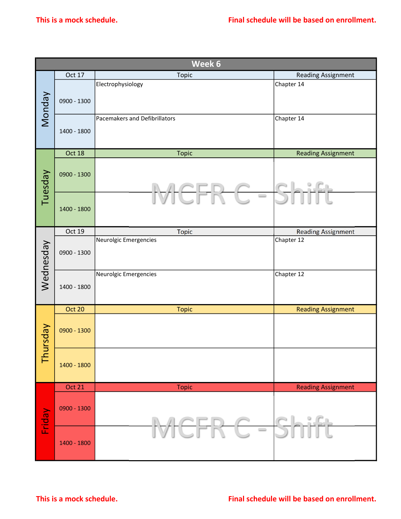| Oct 17<br>0900 - 1300<br>1400 - 1800<br>Oct 18<br>0900 - 1300<br>1400 - 1800 | Week 6<br>Topic<br>Electrophysiology<br>Pacemakers and Defibrillators<br><b>Topic</b><br>$\qquad \qquad \Box$ | <b>Reading Assignment</b><br>Chapter 14<br>Chapter 14<br><b>Reading Assignment</b> |
|------------------------------------------------------------------------------|---------------------------------------------------------------------------------------------------------------|------------------------------------------------------------------------------------|
|                                                                              |                                                                                                               |                                                                                    |
|                                                                              |                                                                                                               |                                                                                    |
|                                                                              |                                                                                                               |                                                                                    |
|                                                                              |                                                                                                               |                                                                                    |
|                                                                              |                                                                                                               |                                                                                    |
|                                                                              |                                                                                                               |                                                                                    |
|                                                                              |                                                                                                               |                                                                                    |
| Oct 19                                                                       | <b>Topic</b>                                                                                                  | <b>Reading Assignment</b>                                                          |
| 0900 - 1300                                                                  |                                                                                                               | Chapter 12                                                                         |
| 1400 - 1800                                                                  |                                                                                                               | Chapter 12                                                                         |
| <b>Oct 20</b>                                                                |                                                                                                               | <b>Reading Assignment</b>                                                          |
| 0900 - 1300                                                                  |                                                                                                               |                                                                                    |
| 1400 - 1800                                                                  |                                                                                                               |                                                                                    |
|                                                                              |                                                                                                               | <b>Reading Assignment</b>                                                          |
| 0900 - 1300                                                                  |                                                                                                               | elsich                                                                             |
| 1400 - 1800                                                                  | $\qquad \qquad \qquad$                                                                                        |                                                                                    |
|                                                                              | <b>Oct 21</b>                                                                                                 | Neurolgic Emergencies<br>Neurolgic Emergencies<br><b>Topic</b><br><b>Topic</b>     |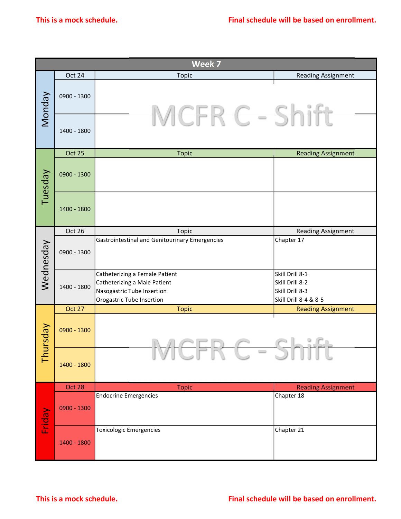|               | This is a mock schedule. |                                                                                                                           | Final schedule will be based on enrollment.                                    |
|---------------|--------------------------|---------------------------------------------------------------------------------------------------------------------------|--------------------------------------------------------------------------------|
|               |                          |                                                                                                                           |                                                                                |
|               |                          | Week 7                                                                                                                    |                                                                                |
|               | Oct 24                   | Topic                                                                                                                     | <b>Reading Assignment</b>                                                      |
| <b>Monday</b> | 0900 - 1300              |                                                                                                                           |                                                                                |
|               | 1400 - 1800              | $\hspace{0.05cm} \longrightarrow \hspace{0.05cm}$                                                                         |                                                                                |
|               | Oct 25                   | <b>Topic</b>                                                                                                              | <b>Reading Assignment</b>                                                      |
| Tuesday       | 0900 - 1300              |                                                                                                                           |                                                                                |
|               | 1400 - 1800              |                                                                                                                           |                                                                                |
|               | Oct 26                   | Topic                                                                                                                     | <b>Reading Assignment</b>                                                      |
| Wednesday     | 0900 - 1300              | Gastrointestinal and Genitourinary Emergencies                                                                            | Chapter 17                                                                     |
|               | 1400 - 1800              | Catheterizing a Female Patient<br>Catheterizing a Male Patient<br>Nasogastric Tube Insertion<br>Orogastric Tube Insertion | Skill Drill 8-1<br>Skill Drill 8-2<br>Skill Drill 8-3<br>Skill Drill 8-4 & 8-5 |
|               | Oct 27                   | <b>Topic</b>                                                                                                              | <b>Reading Assignment</b>                                                      |
| Thursday      | 0900 - 1300              |                                                                                                                           |                                                                                |
|               | 1400 - 1800              | $\hspace{0.1cm} \longrightarrow \hspace{0.1cm}$                                                                           |                                                                                |
|               | Oct 28                   | <b>Topic</b>                                                                                                              | <b>Reading Assignment</b>                                                      |
| Friday        | $0900 - 1300$            | <b>Endocrine Emergencies</b>                                                                                              | Chapter 18                                                                     |
|               | 1400 - 1800              | <b>Toxicologic Emergencies</b>                                                                                            | Chapter 21                                                                     |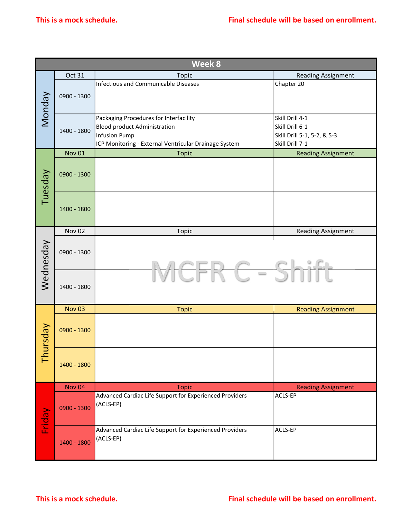|               |               | Week 8                                                               |                             |
|---------------|---------------|----------------------------------------------------------------------|-----------------------------|
|               | Oct 31        | Topic                                                                | <b>Reading Assignment</b>   |
|               |               | Infectious and Communicable Diseases                                 | Chapter 20                  |
| Monday        | 0900 - 1300   |                                                                      |                             |
|               |               | Packaging Procedures for Interfacility                               | Skill Drill 4-1             |
|               |               | <b>Blood product Administration</b>                                  | Skill Drill 6-1             |
|               | 1400 - 1800   | <b>Infusion Pump</b>                                                 | Skill Drill 5-1, 5-2, & 5-3 |
|               |               | ICP Monitoring - External Ventricular Drainage System                | Skill Drill 7-1             |
|               | <b>Nov 01</b> | <b>Topic</b>                                                         | <b>Reading Assignment</b>   |
|               |               |                                                                      |                             |
| Tuesday       | 0900 - 1300   |                                                                      |                             |
|               | 1400 - 1800   |                                                                      |                             |
|               | <b>Nov 02</b> | Topic                                                                | Reading Assignment          |
| Wednesday     | 0900 - 1300   |                                                                      |                             |
|               | 1400 - 1800   |                                                                      |                             |
|               | <b>Nov 03</b> | <b>Topic</b>                                                         | <b>Reading Assignment</b>   |
| <b>Aepsun</b> | 0900 - 1300   |                                                                      |                             |
| 톱             | 1400 - 1800   |                                                                      |                             |
|               | <b>Nov 04</b> | <b>Topic</b>                                                         | <b>Reading Assignment</b>   |
| Friday        | 0900 - 1300   | Advanced Cardiac Life Support for Experienced Providers<br>(ACLS-EP) | ACLS-EP                     |
|               | 1400 - 1800   | Advanced Cardiac Life Support for Experienced Providers<br>(ACLS-EP) | ACLS-EP                     |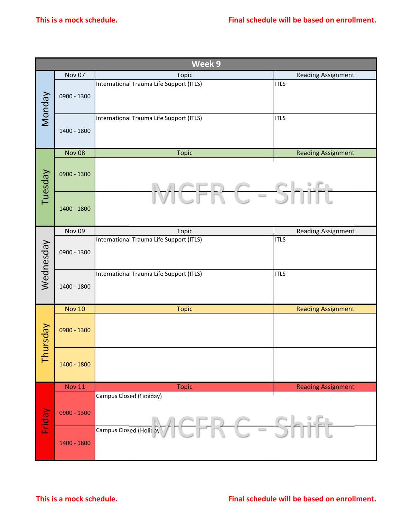| Week 9<br>Nov 07<br>Topic<br><b>Reading Assignment</b><br>International Trauma Life Support (ITLS)<br><b>ITLS</b><br>Monday<br>0900 - 1300<br>International Trauma Life Support (ITLS)<br><b>ITLS</b><br>1400 - 1800<br><b>Nov 08</b><br><b>Reading Assignment</b><br><b>Topic</b><br>Tuesday<br>0900 - 1300<br>$\overline{\phantom{0}}$<br>1400 - 1800<br>Nov <sub>09</sub><br><b>Topic</b><br><b>Reading Assignment</b><br>International Trauma Life Support (ITLS)<br><b>ITLS</b><br>Wednesday<br>0900 - 1300<br>International Trauma Life Support (ITLS)<br><b>ITLS</b><br>1400 - 1800<br><b>Nov 10</b><br><b>Reading Assignment</b><br><b>Topic</b><br>Thursday<br>0900 - 1300<br>1400 - 1800<br><b>Nov 11</b><br><b>Topic</b><br><b>Reading Assignment</b><br>Campus Closed (Holiday)<br>Friday<br>$0900 - 1300$<br>Campus Closed (Holic ay<br>$\hspace{0.1cm} \longrightarrow \hspace{0.1cm}$<br>1400 - 1800 |  |  |
|---------------------------------------------------------------------------------------------------------------------------------------------------------------------------------------------------------------------------------------------------------------------------------------------------------------------------------------------------------------------------------------------------------------------------------------------------------------------------------------------------------------------------------------------------------------------------------------------------------------------------------------------------------------------------------------------------------------------------------------------------------------------------------------------------------------------------------------------------------------------------------------------------------------------|--|--|
|                                                                                                                                                                                                                                                                                                                                                                                                                                                                                                                                                                                                                                                                                                                                                                                                                                                                                                                     |  |  |
|                                                                                                                                                                                                                                                                                                                                                                                                                                                                                                                                                                                                                                                                                                                                                                                                                                                                                                                     |  |  |
|                                                                                                                                                                                                                                                                                                                                                                                                                                                                                                                                                                                                                                                                                                                                                                                                                                                                                                                     |  |  |
|                                                                                                                                                                                                                                                                                                                                                                                                                                                                                                                                                                                                                                                                                                                                                                                                                                                                                                                     |  |  |
|                                                                                                                                                                                                                                                                                                                                                                                                                                                                                                                                                                                                                                                                                                                                                                                                                                                                                                                     |  |  |
|                                                                                                                                                                                                                                                                                                                                                                                                                                                                                                                                                                                                                                                                                                                                                                                                                                                                                                                     |  |  |
|                                                                                                                                                                                                                                                                                                                                                                                                                                                                                                                                                                                                                                                                                                                                                                                                                                                                                                                     |  |  |
|                                                                                                                                                                                                                                                                                                                                                                                                                                                                                                                                                                                                                                                                                                                                                                                                                                                                                                                     |  |  |
|                                                                                                                                                                                                                                                                                                                                                                                                                                                                                                                                                                                                                                                                                                                                                                                                                                                                                                                     |  |  |
|                                                                                                                                                                                                                                                                                                                                                                                                                                                                                                                                                                                                                                                                                                                                                                                                                                                                                                                     |  |  |
|                                                                                                                                                                                                                                                                                                                                                                                                                                                                                                                                                                                                                                                                                                                                                                                                                                                                                                                     |  |  |
|                                                                                                                                                                                                                                                                                                                                                                                                                                                                                                                                                                                                                                                                                                                                                                                                                                                                                                                     |  |  |
|                                                                                                                                                                                                                                                                                                                                                                                                                                                                                                                                                                                                                                                                                                                                                                                                                                                                                                                     |  |  |
|                                                                                                                                                                                                                                                                                                                                                                                                                                                                                                                                                                                                                                                                                                                                                                                                                                                                                                                     |  |  |
|                                                                                                                                                                                                                                                                                                                                                                                                                                                                                                                                                                                                                                                                                                                                                                                                                                                                                                                     |  |  |
|                                                                                                                                                                                                                                                                                                                                                                                                                                                                                                                                                                                                                                                                                                                                                                                                                                                                                                                     |  |  |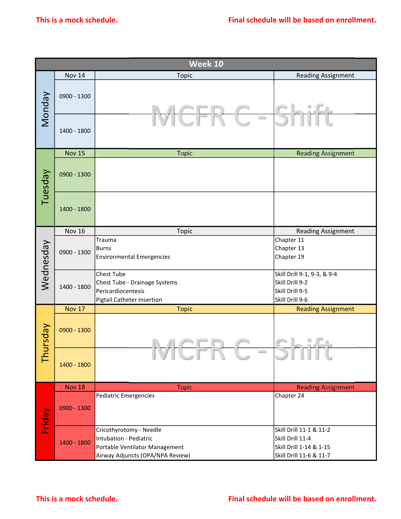|           | This is a mock schedule. |                                                                                                                         | Final schedule will be based on enrollment.                                                       |
|-----------|--------------------------|-------------------------------------------------------------------------------------------------------------------------|---------------------------------------------------------------------------------------------------|
|           |                          | Week 10                                                                                                                 |                                                                                                   |
|           | <b>Nov 14</b>            | <b>Topic</b>                                                                                                            | <b>Reading Assignment</b>                                                                         |
| Monday    | 0900 - 1300              |                                                                                                                         |                                                                                                   |
|           | 1400 - 1800              | $\qquad \qquad \Box$                                                                                                    |                                                                                                   |
|           | <b>Nov 15</b>            | <b>Topic</b>                                                                                                            | <b>Reading Assignment</b>                                                                         |
| Tuesday   | 0900 - 1300              |                                                                                                                         |                                                                                                   |
|           | 1400 - 1800              |                                                                                                                         |                                                                                                   |
|           | <b>Nov 16</b>            | <b>Topic</b>                                                                                                            | <b>Reading Assignment</b>                                                                         |
| Wednesday | 0900 - 1300              | Trauma<br>Burns<br>Environmental Emergencies                                                                            | Chapter 11<br>Chapter 13<br>Chapter 19                                                            |
|           | 1400 - 1800              | Chest Tube<br>Chest Tube - Drainage Systems<br>Pericardiocentesis<br>Pigtail Catheter Insertion                         | Skill Drill 9-1, 9-3, & 9-4<br>Skill Drill 9-2<br>Skill Drill 9-5<br>Skill Drill 9-6              |
|           | <b>Nov 17</b>            | <b>Topic</b>                                                                                                            | <b>Reading Assignment</b>                                                                         |
| Thursday  | 0900 - 1300              |                                                                                                                         | $-51$                                                                                             |
|           | 1400 - 1800              | $\hspace{0.1cm} \longrightarrow \hspace{0.1cm}$                                                                         |                                                                                                   |
|           | <b>Nov 18</b>            | <b>Topic</b>                                                                                                            | <b>Reading Assignment</b>                                                                         |
| Friday    | 0900 - 1300              | Pediatric Emergencies                                                                                                   | Chapter 24                                                                                        |
|           | 1400 - 1800              | Cricothyrotomy - Needle<br>Intubation - Pediatric<br>Portable Ventilator Management<br>Airway Adjuncts (OPA/NPA Review) | Skill Drill 11-1 & 11-2<br>Skill Drill 11-4<br>Skill Drill 1-14 & 1-15<br>Skill Drill 11-6 & 11-7 |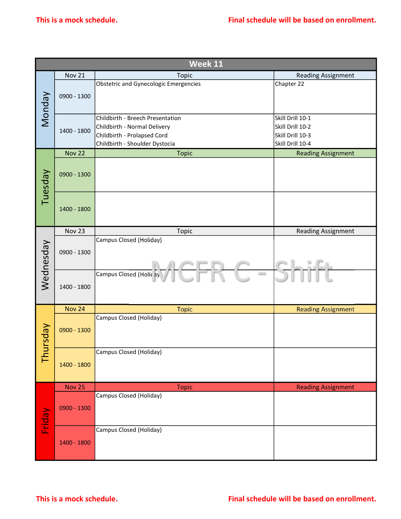|           |               | Week 11                                                                    |                           |
|-----------|---------------|----------------------------------------------------------------------------|---------------------------|
|           | <b>Nov 21</b> | <b>Topic</b>                                                               | Reading Assignment        |
|           |               | Obstetric and Gynecologic Emergencies                                      | Chapter 22                |
| Monday    | 0900 - 1300   |                                                                            |                           |
|           |               | Childbirth - Breech Presentation                                           | Skill Drill 10-1          |
|           | 1400 - 1800   | Childbirth - Normal Delivery                                               | Skill Drill 10-2          |
|           |               | Childbirth - Prolapsed Cord                                                | Skill Drill 10-3          |
|           |               | Childbirth - Shoulder Dystocia                                             | Skill Drill 10-4          |
|           | <b>Nov 22</b> | <b>Topic</b>                                                               | <b>Reading Assignment</b> |
| Tuesday   | 0900 - 1300   |                                                                            |                           |
|           | 1400 - 1800   |                                                                            |                           |
|           | Nov 23        | Topic                                                                      | <b>Reading Assignment</b> |
| Wednesday | 0900 - 1300   | Campus Closed (Holiday)                                                    |                           |
|           | 1400 - 1800   | Campus Closed (Holic ay<br>$\hspace{0.1cm} \longrightarrow \hspace{0.1cm}$ |                           |
|           | <b>Nov 24</b> | <b>Topic</b>                                                               | <b>Reading Assignment</b> |
| Vepsun    | 0900 - 1300   | Campus Closed (Holiday)                                                    |                           |
| 흡         | 1400 - 1800   | Campus Closed (Holiday)                                                    |                           |
|           | <b>Nov 25</b> | <b>Topic</b>                                                               | <b>Reading Assignment</b> |
| Friday    | 0900 - 1300   | Campus Closed (Holiday)                                                    |                           |
|           | 1400 - 1800   | Campus Closed (Holiday)                                                    |                           |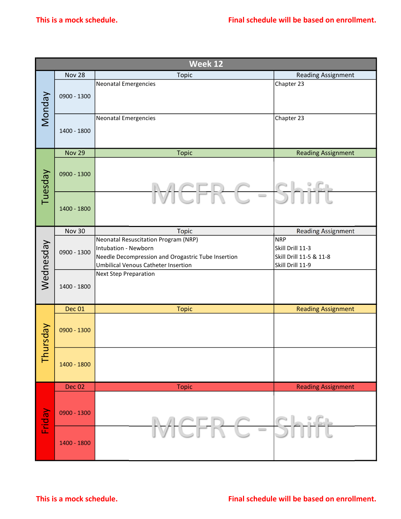| <b>Nov 28</b><br>Topic<br>Neonatal Emergencies<br>Monday<br>0900 - 1300<br>Neonatal Emergencies<br>1400 - 1800<br><b>Nov 29</b><br><b>Topic</b><br>Tuesday<br>0900 - 1300<br>1400 - 1800<br>Nov 30<br><b>Topic</b><br>Neonatal Resuscitation Program (NRP)<br>Wednesday<br>Intubation - Newborn<br>0900 - 1300<br>Needle Decompression and Orogastric Tube Insertion<br>Umbilical Venous Catheter Insertion<br>Next Step Preparation<br>$1400 - 1800$<br>Dec 01<br><b>Topic</b><br>Thursday<br>0900 - 1300 | Week 12<br>$\hspace{0.1cm} \longrightarrow \hspace{0.1cm}$ | <b>Reading Assignment</b><br>Chapter 23<br>Chapter 23<br><b>Reading Assignment</b><br><b>Reading Assignment</b><br>NRP<br>Skill Drill 11-3<br>Skill Drill 11-5 & 11-8<br>Skill Drill 11-9 |
|------------------------------------------------------------------------------------------------------------------------------------------------------------------------------------------------------------------------------------------------------------------------------------------------------------------------------------------------------------------------------------------------------------------------------------------------------------------------------------------------------------|------------------------------------------------------------|-------------------------------------------------------------------------------------------------------------------------------------------------------------------------------------------|
|                                                                                                                                                                                                                                                                                                                                                                                                                                                                                                            |                                                            |                                                                                                                                                                                           |
|                                                                                                                                                                                                                                                                                                                                                                                                                                                                                                            |                                                            |                                                                                                                                                                                           |
|                                                                                                                                                                                                                                                                                                                                                                                                                                                                                                            |                                                            |                                                                                                                                                                                           |
|                                                                                                                                                                                                                                                                                                                                                                                                                                                                                                            |                                                            |                                                                                                                                                                                           |
|                                                                                                                                                                                                                                                                                                                                                                                                                                                                                                            |                                                            |                                                                                                                                                                                           |
|                                                                                                                                                                                                                                                                                                                                                                                                                                                                                                            |                                                            |                                                                                                                                                                                           |
|                                                                                                                                                                                                                                                                                                                                                                                                                                                                                                            |                                                            |                                                                                                                                                                                           |
|                                                                                                                                                                                                                                                                                                                                                                                                                                                                                                            |                                                            |                                                                                                                                                                                           |
|                                                                                                                                                                                                                                                                                                                                                                                                                                                                                                            |                                                            |                                                                                                                                                                                           |
|                                                                                                                                                                                                                                                                                                                                                                                                                                                                                                            |                                                            |                                                                                                                                                                                           |
|                                                                                                                                                                                                                                                                                                                                                                                                                                                                                                            |                                                            | <b>Reading Assignment</b>                                                                                                                                                                 |
|                                                                                                                                                                                                                                                                                                                                                                                                                                                                                                            |                                                            |                                                                                                                                                                                           |
| 1400 - 1800                                                                                                                                                                                                                                                                                                                                                                                                                                                                                                |                                                            |                                                                                                                                                                                           |
| Dec 02<br><b>Topic</b>                                                                                                                                                                                                                                                                                                                                                                                                                                                                                     |                                                            | <b>Reading Assignment</b>                                                                                                                                                                 |
| Friday<br>0900 - 1300                                                                                                                                                                                                                                                                                                                                                                                                                                                                                      |                                                            | $\frac{1}{2}$                                                                                                                                                                             |
| 1400 - 1800                                                                                                                                                                                                                                                                                                                                                                                                                                                                                                | $\qquad \qquad \Box$                                       |                                                                                                                                                                                           |